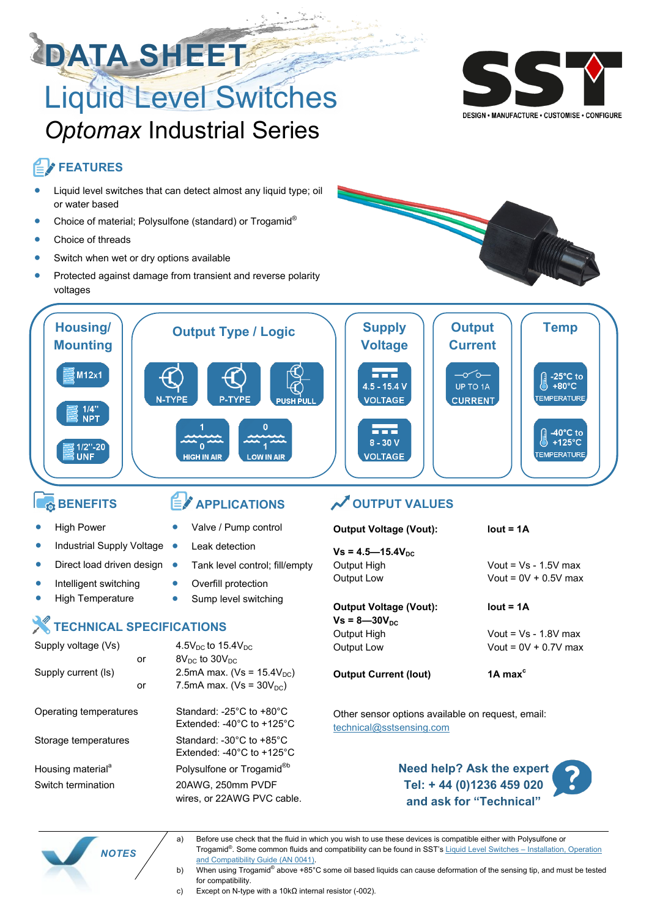# **DATA SHEET** Liquid Level Switches *Optomax* Industrial Series



DESIGN • MANUFACTURE • CUSTOMISE • CONFIGURE

# **FEATURES**

- Liquid level switches that can detect almost any liquid type; oil or water based
- Choice of material; Polysulfone (standard) or Trogamid®
- Choice of threads
- Switch when wet or dry options available
- Protected against damage from transient and reverse polarity voltages





### **BENEFITS**

**High Power** 

# **APPLICATIONS**

- Valve / Pump control
- Industrial Supply Voltage **Leak detection** 
	- Tank level control; fill/empty
	- Overfill protection
	- Sump level switching

### **TECHNICAL SPECIFICATIONS**

Direct load driven design  $\bullet$ 

Intelligent switching • High Temperature

| Supply voltage (Vs)           |    | 4.5 $V_{DC}$ to 15.4 $V_{DC}$                                                                             |  |  |
|-------------------------------|----|-----------------------------------------------------------------------------------------------------------|--|--|
|                               | or | $8V_{\text{DC}}$ to $30V_{\text{DC}}$                                                                     |  |  |
| Supply current (Is)           |    | 2.5mA max. (Vs = $15.4V_{DC}$ )                                                                           |  |  |
|                               | or | 7.5mA max. ( $Vs = 30V_{DC}$ )                                                                            |  |  |
| Operating temperatures        |    | Standard: -25 $^{\circ}$ C to +80 $^{\circ}$ C<br>Extended: -40 $^{\circ}$ C to +125 $^{\circ}$ C         |  |  |
| Storage temperatures          |    | Standard: -30 $^{\circ}$ C to +85 $^{\circ}$ C<br>$ext{Extended}$ : -40 $^{\circ}$ C to +125 $^{\circ}$ C |  |  |
| Housing material <sup>a</sup> |    | Polysulfone or Trogamid <sup>®b</sup>                                                                     |  |  |
| Switch termination            |    | 20AWG, 250mm PVDF<br>wires, or 22AWG PVC cable.                                                           |  |  |

## *OUTPUT VALUES*

# $Vs = 4.5 - 15.4V_{DC}$ Output High Vout = Vs - 1.5V max

# **Output Voltage (Vout): lout = 1A**

 $Vs = 8 - 30V_{DC}$ 

**Output Current (Iout) 1A max<sup>c</sup>**

**Output Voltage (Vout): lout = 1A**

Output Low Vout = 0V + 0.5V max

Output High Vout = Vs - 1.8V max Output Low Vout = 0V + 0.7V max

Other sensor options available on request, email: [technical@sstsensing.com](mailto:technical@sstsensing.com?subject=Technical%20assistance%20request)





- a) Before use check that the fluid in which you wish to use these devices is compatible either with Polysulfone or Trogamid<sup>®</sup>. Some common fluids and compatibility can be found in SST's [Liquid Level Switches –](https://www.sstsensing.com/wp-content/uploads/2016/07/AN-0041rev8_Liquid-Level-Installation-Operation-and-Compatibility-Guide.pdf) Installation, Operation [and Compatibility Guide \(AN 0041\).](https://www.sstsensing.com/wp-content/uploads/2016/07/AN-0041rev8_Liquid-Level-Installation-Operation-and-Compatibility-Guide.pdf)
- b) When using Trogamid® above +85°C some oil based liquids can cause deformation of the sensing tip, and must be tested for compatibility.
- c) Except on N-type with a 10kΩ internal resistor (-002).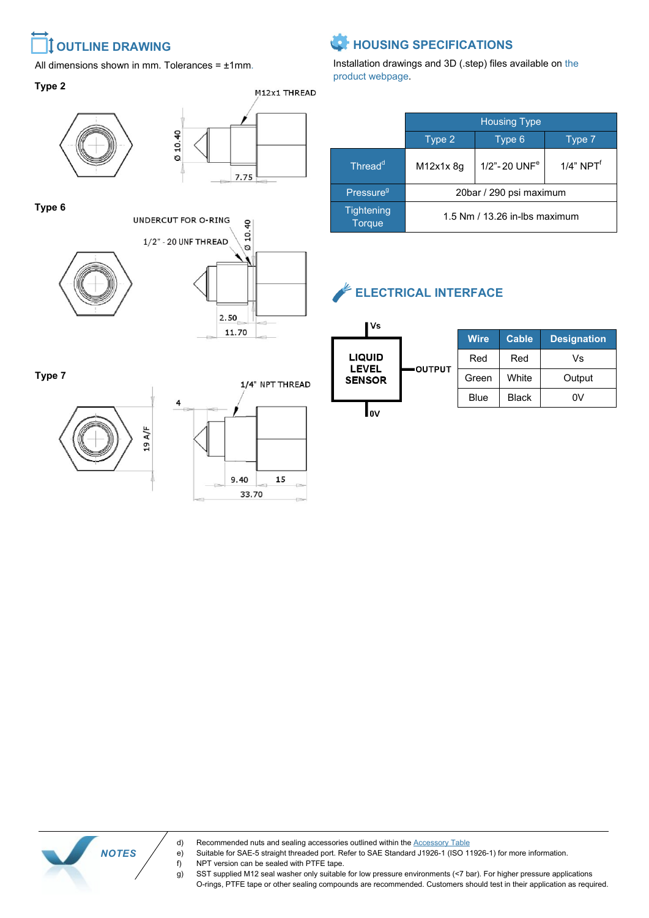# <span id="page-1-0"></span>**OUTLINE DRAWING**

All dimensions shown in mm. Tolerances =  $±1$ mm.

#### **Type 2**





**Type 6**





**Type 7**



 *NOTES*

1/4" NPT THREAD



# **HOUSING SPECIFICATIONS**

Installation drawings and 3D (.step) files available on the product webpage.

|                                    | <b>Housing Type</b>           |                          |                 |  |  |
|------------------------------------|-------------------------------|--------------------------|-----------------|--|--|
|                                    | Type 2                        | Type 6                   | Type 7          |  |  |
| Thread <sup>d</sup>                | M12x1x 8q                     | 1/2"-20 UNF <sup>e</sup> | $1/4$ " NPT $f$ |  |  |
| Pressure <sup>9</sup>              | 20bar / 290 psi maximum       |                          |                 |  |  |
| <b>Tightening</b><br><b>Torque</b> | 1.5 Nm / 13.26 in-lbs maximum |                          |                 |  |  |

# **ELECTRICAL INTERFACE**



d) Recommended nuts and sealing accessories outlined within the [Accessory Table](#page-3-0)

- e) Suitable for SAE-5 straight threaded port. Refer to SAE Standard J1926-1 (ISO 11926-1) for more information. f) NPT version can be sealed with PTFE tape.
- g) SST supplied M12 seal washer only suitable for low pressure environments (<7 bar). For higher pressure applications O-rings, PTFE tape or other sealing compounds are recommended. Customers should test in their application as required.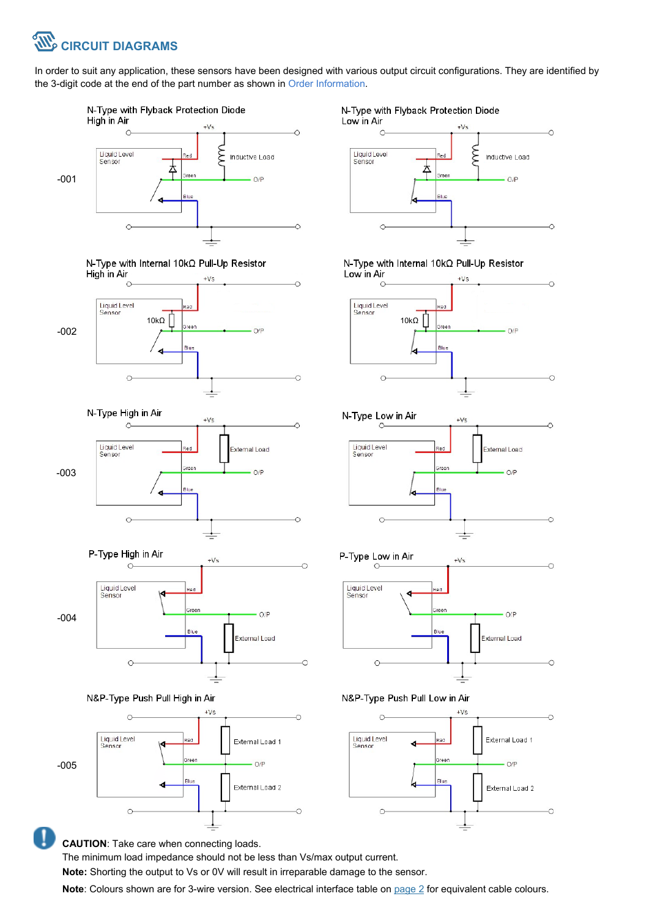

In order to suit any application, these sensors have been designed with various output circuit configurations. They are identified by the 3-digit code at the end of the part number as shown in Order Information.



N-Type with Internal 10kΩ Pull-Up Resistor High in Air  $+Vs$ 



N-Type High in Air  $+Vs$  $\mathbf C$ Liquid Level<br>Sensor External Load -003  $O/F$  $\epsilon$ 







**CAUTION**: Take care when connecting loads.

The minimum load impedance should not be less than Vs/max output current.

**Note:** Shorting the output to Vs or 0V will result in irreparable damage to the sensor.

**Note**: Colours shown are for 3-wire version. See electrical interface table on [page 2](#page-1-0) for equivalent cable colours.

#### N-Type with Flyback Protection Diode



N-Type with Internal 10kΩ Pull-Up Resistor